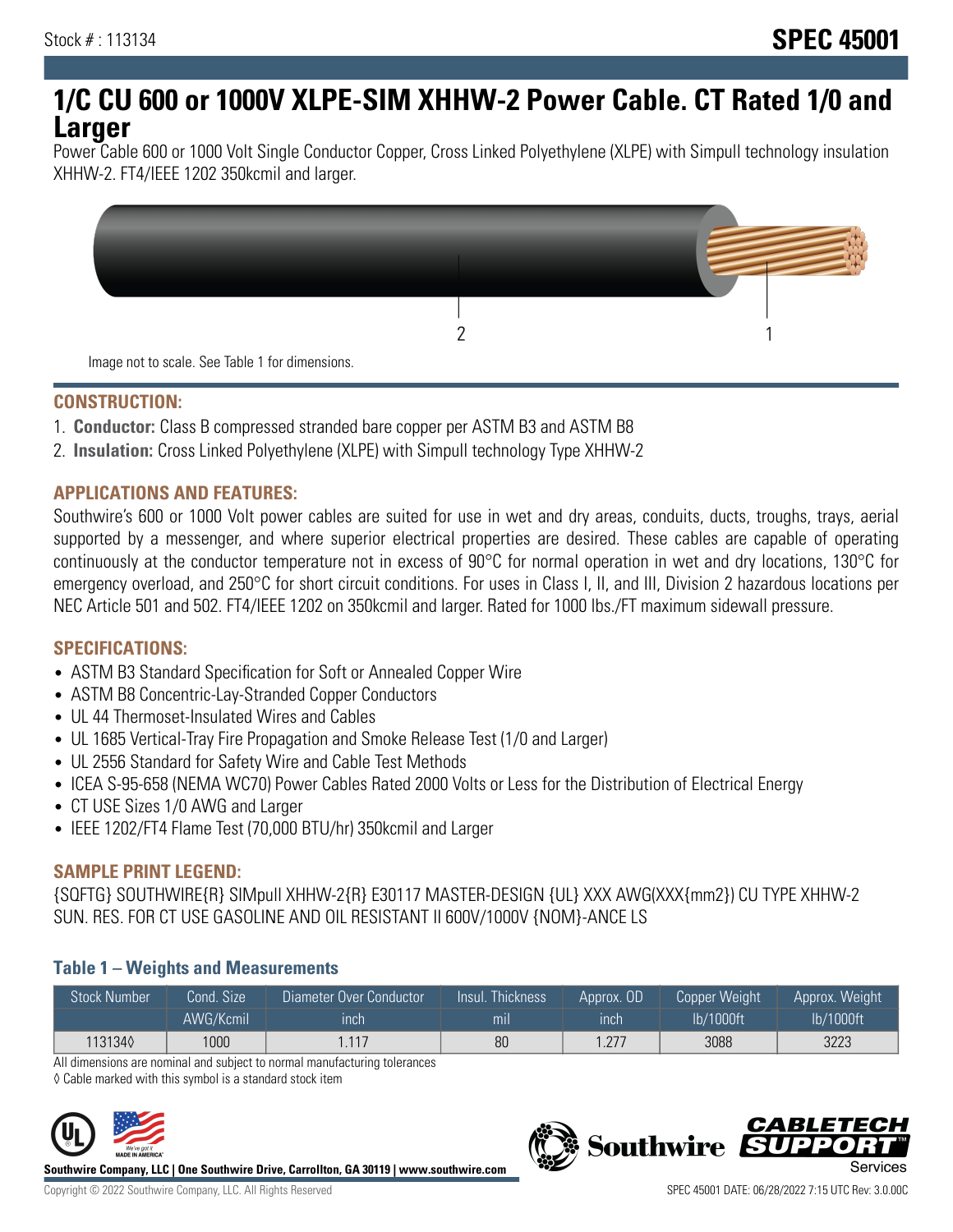# **1/C CU 600 or 1000V XLPE-SIM XHHW-2 Power Cable. CT Rated 1/0 and Larger**

Power Cable 600 or 1000 Volt Single Conductor Copper, Cross Linked Polyethylene (XLPE) with Simpull technology insulation XHHW-2. FT4/IEEE 1202 350kcmil and larger.



### **CONSTRUCTION:**

- 1. **Conductor:** Class B compressed stranded bare copper per ASTM B3 and ASTM B8
- 2. **Insulation:** Cross Linked Polyethylene (XLPE) with Simpull technology Type XHHW-2

## **APPLICATIONS AND FEATURES:**

Southwire's 600 or 1000 Volt power cables are suited for use in wet and dry areas, conduits, ducts, troughs, trays, aerial supported by a messenger, and where superior electrical properties are desired. These cables are capable of operating continuously at the conductor temperature not in excess of 90°C for normal operation in wet and dry locations, 130°C for emergency overload, and 250°C for short circuit conditions. For uses in Class I, II, and III, Division 2 hazardous locations per NEC Article 501 and 502. FT4/IEEE 1202 on 350kcmil and larger. Rated for 1000 lbs./FT maximum sidewall pressure.

### **SPECIFICATIONS:**

- ASTM B3 Standard Specification for Soft or Annealed Copper Wire
- ASTM B8 Concentric-Lay-Stranded Copper Conductors
- UL 44 Thermoset-Insulated Wires and Cables
- UL 1685 Vertical-Tray Fire Propagation and Smoke Release Test (1/0 and Larger)
- UL 2556 Standard for Safety Wire and Cable Test Methods
- ICEA S-95-658 (NEMA WC70) Power Cables Rated 2000 Volts or Less for the Distribution of Electrical Energy
- CT USE Sizes 1/0 AWG and Larger
- IEEE 1202/FT4 Flame Test (70,000 BTU/hr) 350kcmil and Larger

### **SAMPLE PRINT LEGEND:**

{SQFTG} SOUTHWIRE{R} SIMpull XHHW-2{R} E30117 MASTER-DESIGN {UL} XXX AWG(XXX{mm2}) CU TYPE XHHW-2 SUN. RES. FOR CT USE GASOLINE AND OIL RESISTANT II 600V/1000V {NOM}-ANCE LS

### **Table 1 – Weights and Measurements**

| <b>Stock Number</b> | Cond. Size | Diameter Over Conductor | Insul. Thickness | Approx. OD | Copper Weight | Approx. Weight |
|---------------------|------------|-------------------------|------------------|------------|---------------|----------------|
|                     | AWG/Kcmil  | ınch                    | mıl              | inch       | lb/1000ft     | lb/1000ft      |
| 1131340             | 1000       | 1.117                   | 80               | 1.277      | 3088          | 3223           |

All dimensions are nominal and subject to normal manufacturing tolerances

◊ Cable marked with this symbol is a standard stock item



**Southwire Company, LLC | One Southwire Drive, Carrollton, GA 30119 | www.southwire.com**

*CABLETE*